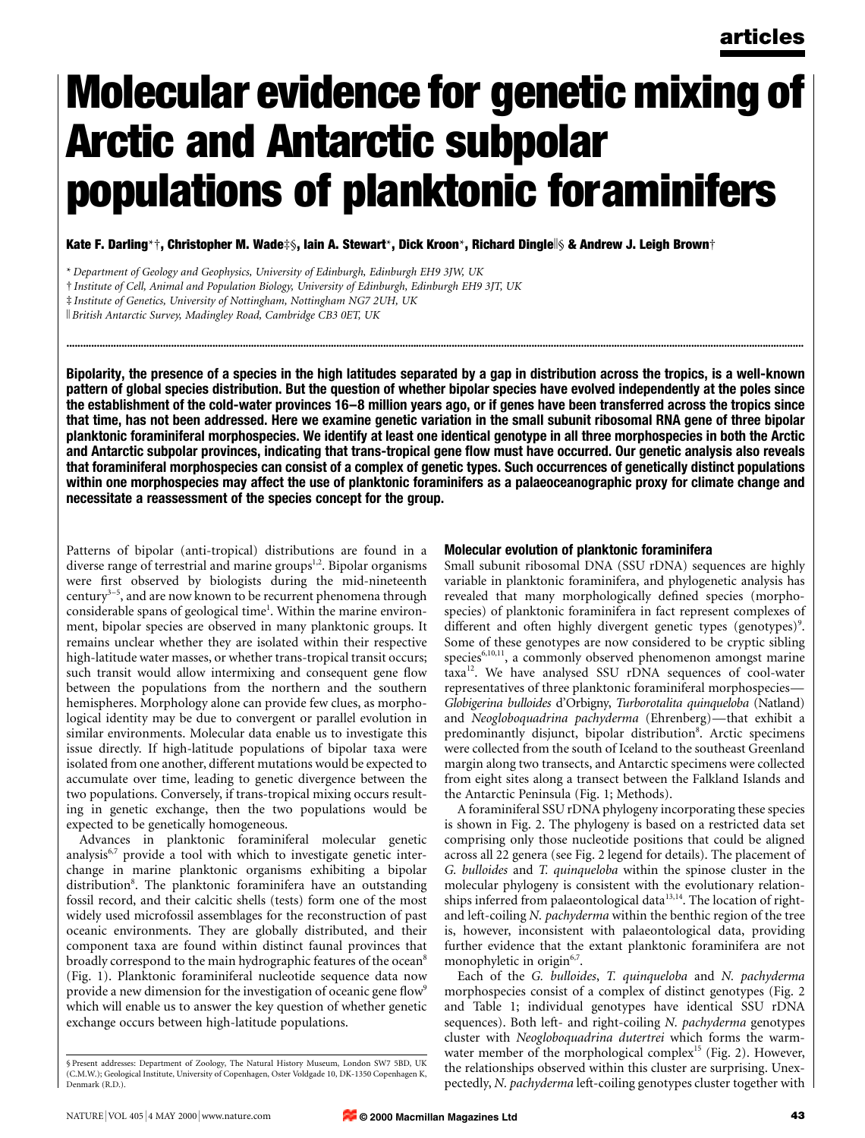# Molecular evidence for genetic mixing of Arctic and Antarctic subpolar populations of planktonic foraminifers

Kate F. Darling\*†, Christopher M. Wade‡§, Iain A. Stewart\*, Dick Kroon\*, Richard Dingle||§ & Andrew J. Leigh Brown†

k British Antarctic Survey, Madingley Road, Cambridge CB3 0ET, UK

Bipolarity, the presence of a species in the high latitudes separated by a gap in distribution across the tropics, is a well-known pattern of global species distribution. But the question of whether bipolar species have evolved independently at the poles since the establishment of the cold-water provinces 16–8 million years ago, or if genes have been transferred across the tropics since that time, has not been addressed. Here we examine genetic variation in the small subunit ribosomal RNA gene of three bipolar planktonic foraminiferal morphospecies. We identify at least one identical genotype in all three morphospecies in both the Arctic and Antarctic subpolar provinces, indicating that trans-tropical gene flow must have occurred. Our genetic analysis also reveals that foraminiferal morphospecies can consist of a complex of genetic types. Such occurrences of genetically distinct populations within one morphospecies may affect the use of planktonic foraminifers as a palaeoceanographic proxy for climate change and necessitate a reassessment of the species concept for the group.

............................................................................................................................................................................................................................................................................

Patterns of bipolar (anti-tropical) distributions are found in a diverse range of terrestrial and marine groups $^{1,2}$ . Bipolar organisms were first observed by biologists during the mid-nineteenth century<sup>3-5</sup>, and are now known to be recurrent phenomena through considerable spans of geological time<sup>1</sup>. Within the marine environment, bipolar species are observed in many planktonic groups. It remains unclear whether they are isolated within their respective high-latitude water masses, or whether trans-tropical transit occurs; such transit would allow intermixing and consequent gene flow between the populations from the northern and the southern hemispheres. Morphology alone can provide few clues, as morphological identity may be due to convergent or parallel evolution in similar environments. Molecular data enable us to investigate this issue directly. If high-latitude populations of bipolar taxa were isolated from one another, different mutations would be expected to accumulate over time, leading to genetic divergence between the two populations. Conversely, if trans-tropical mixing occurs resulting in genetic exchange, then the two populations would be expected to be genetically homogeneous.

Advances in planktonic foraminiferal molecular genetic analysis<sup>6,7</sup> provide a tool with which to investigate genetic interchange in marine planktonic organisms exhibiting a bipolar distribution<sup>8</sup>. The planktonic foraminifera have an outstanding fossil record, and their calcitic shells (tests) form one of the most widely used microfossil assemblages for the reconstruction of past oceanic environments. They are globally distributed, and their component taxa are found within distinct faunal provinces that broadly correspond to the main hydrographic features of the ocean<sup>8</sup> (Fig. 1). Planktonic foraminiferal nucleotide sequence data now provide a new dimension for the investigation of oceanic gene flow<sup>9</sup> which will enable us to answer the key question of whether genetic exchange occurs between high-latitude populations.

## Molecular evolution of planktonic foraminifera

Small subunit ribosomal DNA (SSU rDNA) sequences are highly variable in planktonic foraminifera, and phylogenetic analysis has revealed that many morphologically defined species (morphospecies) of planktonic foraminifera in fact represent complexes of different and often highly divergent genetic types (genotypes)<sup>9</sup>. Some of these genotypes are now considered to be cryptic sibling species<sup>6,10,11</sup>, a commonly observed phenomenon amongst marine taxa<sup>12</sup>. We have analysed SSU rDNA sequences of cool-water representatives of three planktonic foraminiferal morphospecies-Globigerina bulloides d'Orbigny, Turborotalita quinqueloba (Natland) and Neogloboquadrina pachyderma (Ehrenberg)—that exhibit a predominantly disjunct, bipolar distribution8. Arctic specimens were collected from the south of Iceland to the southeast Greenland margin along two transects, and Antarctic specimens were collected from eight sites along a transect between the Falkland Islands and the Antarctic Peninsula (Fig. 1; Methods).

A foraminiferal SSU rDNA phylogeny incorporating these species is shown in Fig. 2. The phylogeny is based on a restricted data set comprising only those nucleotide positions that could be aligned across all 22 genera (see Fig. 2 legend for details). The placement of G. bulloides and T. quinqueloba within the spinose cluster in the molecular phylogeny is consistent with the evolutionary relationships inferred from palaeontological data<sup>13,14</sup>. The location of rightand left-coiling N. pachyderma within the benthic region of the tree is, however, inconsistent with palaeontological data, providing further evidence that the extant planktonic foraminifera are not monophyletic in origin<sup>6,7</sup>.

Each of the G. bulloides, T. quinqueloba and N. pachyderma morphospecies consist of a complex of distinct genotypes (Fig. 2 and Table 1; individual genotypes have identical SSU rDNA sequences). Both left- and right-coiling N. pachyderma genotypes cluster with Neogloboquadrina dutertrei which forms the warmwater member of the morphological complex<sup>15</sup> (Fig. 2). However, the relationships observed within this cluster are surprising. Unexpectedly, N. pachyderma left-coiling genotypes cluster together with

<sup>\*</sup> Department of Geology and Geophysics, University of Edinburgh, Edinburgh EH9 3JW, UK

² Institute of Cell, Animal and Population Biology, University of Edinburgh, Edinburgh EH9 3JT, UK

³ Institute of Genetics, University of Nottingham, Nottingham NG7 2UH, UK

<sup>§</sup> Present addresses: Department of Zoology, The Natural History Museum, London SW7 5BD, UK (C.M.W.); Geological Institute, University of Copenhagen, Oster Voldgade 10, DK-1350 Copenhagen K, Denmark (R.D.).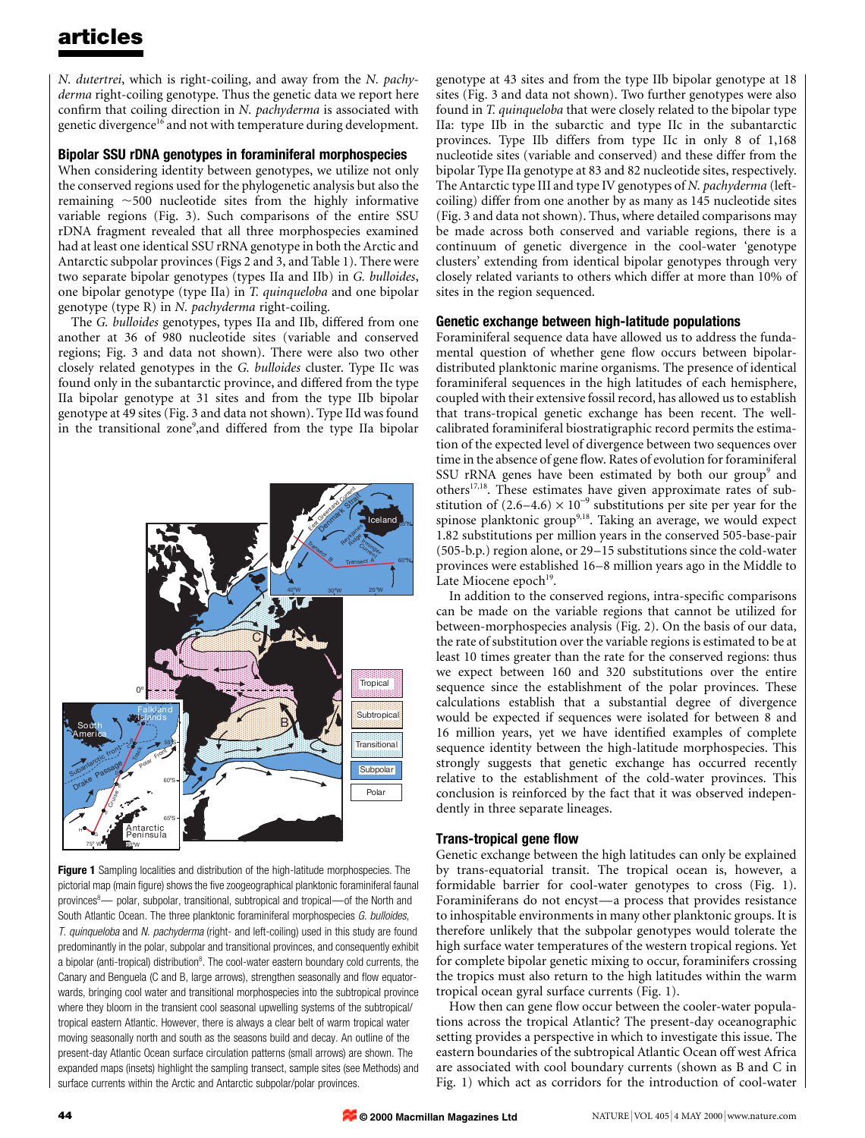# articles

N. dutertrei, which is right-coiling, and away from the N. pachyderma right-coiling genotype. Thus the genetic data we report here confirm that coiling direction in  $N$ . pachyderma is associated with genetic divergence<sup>16</sup> and not with temperature during development.

### Bipolar SSU rDNA genotypes in foraminiferal morphospecies

When considering identity between genotypes, we utilize not only the conserved regions used for the phylogenetic analysis but also the remaining  $\sim$  500 nucleotide sites from the highly informative variable regions (Fig. 3). Such comparisons of the entire SSU rDNA fragment revealed that all three morphospecies examined had at least one identical SSU rRNA genotype in both the Arctic and Antarctic subpolar provinces (Figs 2 and 3, and Table 1). There were two separate bipolar genotypes (types IIa and IIb) in G. bulloides, one bipolar genotype (type IIa) in T. quinqueloba and one bipolar genotype (type R) in N. pachyderma right-coiling.

The G. bulloides genotypes, types IIa and IIb, differed from one another at 36 of 980 nucleotide sites (variable and conserved regions; Fig. 3 and data not shown). There were also two other closely related genotypes in the G. bulloides cluster. Type IIc was found only in the subantarctic province, and differed from the type IIa bipolar genotype at 31 sites and from the type IIb bipolar genotype at 49 sites (Fig. 3 and data not shown). Type IId was found in the transitional zone<sup>9</sup>, and differed from the type IIa bipolar



Figure 1 Sampling localities and distribution of the high-latitude morphospecies. The pictorial map (main figure) shows the five zoogeographical planktonic foraminiferal faunal provinces<sup>8</sup>— polar, subpolar, transitional, subtropical and tropical—of the North and South Atlantic Ocean. The three planktonic foraminiferal morphospecies G. bulloides, T. quinqueloba and N. pachyderma (right- and left-coiling) used in this study are found predominantly in the polar, subpolar and transitional provinces, and consequently exhibit a bipolar (anti-tropical) distribution<sup>8</sup>. The cool-water eastern boundary cold currents, the Canary and Benguela (C and B, large arrows), strengthen seasonally and flow equatorwards, bringing cool water and transitional morphospecies into the subtropical province where they bloom in the transient cool seasonal upwelling systems of the subtropical/ tropical eastern Atlantic. However, there is always a clear belt of warm tropical water moving seasonally north and south as the seasons build and decay. An outline of the present-day Atlantic Ocean surface circulation patterns (small arrows) are shown. The expanded maps (insets) highlight the sampling transect, sample sites (see Methods) and surface currents within the Arctic and Antarctic subpolar/polar provinces.

genotype at 43 sites and from the type IIb bipolar genotype at 18 sites (Fig. 3 and data not shown). Two further genotypes were also found in T. quinqueloba that were closely related to the bipolar type IIa: type IIb in the subarctic and type IIc in the subantarctic provinces. Type IIb differs from type IIc in only 8 of 1,168 nucleotide sites (variable and conserved) and these differ from the bipolar Type IIa genotype at 83 and 82 nucleotide sites, respectively. The Antarctic type III and type IV genotypes of N. pachyderma (leftcoiling) differ from one another by as many as 145 nucleotide sites (Fig. 3 and data not shown). Thus, where detailed comparisons may be made across both conserved and variable regions, there is a continuum of genetic divergence in the cool-water `genotype clusters' extending from identical bipolar genotypes through very closely related variants to others which differ at more than 10% of sites in the region sequenced.

#### Genetic exchange between high-latitude populations

Foraminiferal sequence data have allowed us to address the fundamental question of whether gene flow occurs between bipolardistributed planktonic marine organisms. The presence of identical foraminiferal sequences in the high latitudes of each hemisphere, coupled with their extensive fossil record, has allowed us to establish that trans-tropical genetic exchange has been recent. The wellcalibrated foraminiferal biostratigraphic record permits the estimation of the expected level of divergence between two sequences over time in the absence of gene flow. Rates of evolution for foraminiferal SSU rRNA genes have been estimated by both our group<sup>9</sup> and others17,18. These estimates have given approximate rates of substitution of  $(2.6-4.6) \times 10^{-9}$  substitutions per site per year for the spinose planktonic group<sup>9,18</sup>. Taking an average, we would expect 1.82 substitutions per million years in the conserved 505-base-pair  $(505-b.p.)$  region alone, or 29 $-15$  substitutions since the cold-water provinces were established 16-8 million years ago in the Middle to Late Miocene epoch<sup>19</sup>.

In addition to the conserved regions, intra-specific comparisons can be made on the variable regions that cannot be utilized for between-morphospecies analysis (Fig. 2). On the basis of our data, the rate of substitution over the variable regions is estimated to be at least 10 times greater than the rate for the conserved regions: thus we expect between 160 and 320 substitutions over the entire sequence since the establishment of the polar provinces. These calculations establish that a substantial degree of divergence would be expected if sequences were isolated for between 8 and 16 million years, yet we have identified examples of complete sequence identity between the high-latitude morphospecies. This strongly suggests that genetic exchange has occurred recently relative to the establishment of the cold-water provinces. This conclusion is reinforced by the fact that it was observed independently in three separate lineages.

#### Trans-tropical gene flow

Genetic exchange between the high latitudes can only be explained by trans-equatorial transit. The tropical ocean is, however, a formidable barrier for cool-water genotypes to cross (Fig. 1). Foraminiferans do not encyst—a process that provides resistance to inhospitable environments in many other planktonic groups. It is therefore unlikely that the subpolar genotypes would tolerate the high surface water temperatures of the western tropical regions. Yet for complete bipolar genetic mixing to occur, foraminifers crossing the tropics must also return to the high latitudes within the warm tropical ocean gyral surface currents (Fig. 1).

How then can gene flow occur between the cooler-water populations across the tropical Atlantic? The present-day oceanographic setting provides a perspective in which to investigate this issue. The eastern boundaries of the subtropical Atlantic Ocean off west Africa are associated with cool boundary currents (shown as B and C in Fig. 1) which act as corridors for the introduction of cool-water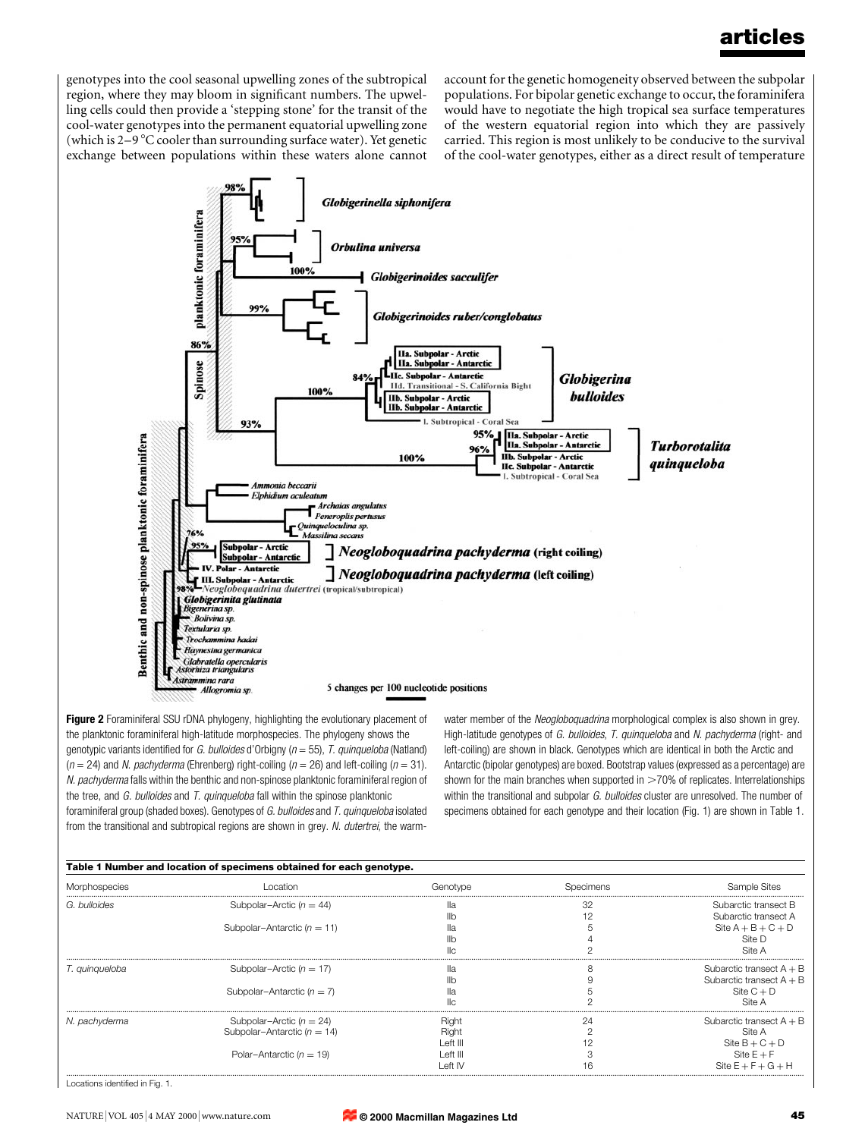# articles

genotypes into the cool seasonal upwelling zones of the subtropical region, where they may bloom in significant numbers. The upwelling cells could then provide a `stepping stone' for the transit of the cool-water genotypes into the permanent equatorial upwelling zone (which is  $2-9$  °C cooler than surrounding surface water). Yet genetic exchange between populations within these waters alone cannot

account for the genetic homogeneity observed between the subpolar populations. For bipolar genetic exchange to occur, the foraminifera would have to negotiate the high tropical sea surface temperatures of the western equatorial region into which they are passively carried. This region is most unlikely to be conducive to the survival of the cool-water genotypes, either as a direct result of temperature



Figure 2 Foraminiferal SSU rDNA phylogeny, highlighting the evolutionary placement of the planktonic foraminiferal high-latitude morphospecies. The phylogeny shows the genotypic variants identified for G. bulloides d'Orbigny ( $n = 55$ ), T. quinqueloba (Natland)  $(n = 24)$  and *N. pachyderma* (Ehrenberg) right-coiling  $(n = 26)$  and left-coiling  $(n = 31)$ . N. pachyderma falls within the benthic and non-spinose planktonic foraminiferal region of the tree, and G. bulloides and T. quinqueloba fall within the spinose planktonic foraminiferal group (shaded boxes). Genotypes of G. bulloides and T. quinqueloba isolated from the transitional and subtropical regions are shown in grey. N. dutertrei, the warmwater member of the Neogloboquadrina morphological complex is also shown in grey. High-latitude genotypes of G. bulloides, T. quinqueloba and N. pachyderma (right- and left-coiling) are shown in black. Genotypes which are identical in both the Arctic and Antarctic (bipolar genotypes) are boxed. Bootstrap values (expressed as a percentage) are shown for the main branches when supported in  $>70%$  of replicates. Interrelationships within the transitional and subpolar G. bulloides cluster are unresolved. The number of specimens obtained for each genotype and their location (Fig. 1) are shown in Table 1.

| Table 1 Number and location of specimens obtained for each genotype. |                                 |          |           |                            |
|----------------------------------------------------------------------|---------------------------------|----------|-----------|----------------------------|
| Morphospecies                                                        | l ocation                       | Genotype | Specimens | Sample Sites               |
| G. bulloides                                                         | Subpolar–Arctic ( $n = 44$ )    | πа       | 32        | Subarctic transect B       |
|                                                                      |                                 | llb      |           | Subarctic transect A       |
|                                                                      | Subpolar-Antarctic ( $n = 11$ ) | Πа       |           | Site $A + B + C + D$       |
|                                                                      |                                 |          |           | Site D                     |
|                                                                      |                                 |          |           | Site A                     |
| T. quinqueloba                                                       | Subpolar–Arctic ( $n = 17$ )    | πа       | ሾ         | Subarctic transect $A + B$ |
|                                                                      |                                 |          |           | Subarctic transect $A + B$ |
|                                                                      | Subpolar-Antarctic $(n = 7)$    |          |           | Site $C + D$               |
|                                                                      |                                 |          |           | Site A                     |
| N. pachyderma                                                        | Subpolar–Arctic ( $n = 24$ )    | Right    | 24        | Subarctic transect $A + B$ |
|                                                                      | Subpolar-Antarctic ( $n = 14$ ) | Right    |           | Site A                     |
|                                                                      |                                 | Left III |           | Site $B + C + D$           |
|                                                                      | Polar-Antarctic ( $n = 19$ )    | Left III |           | Site $E + F$               |
|                                                                      |                                 | l eft IV | h         | Site $E + F + G + H$       |

Locations identified in Fig. 1.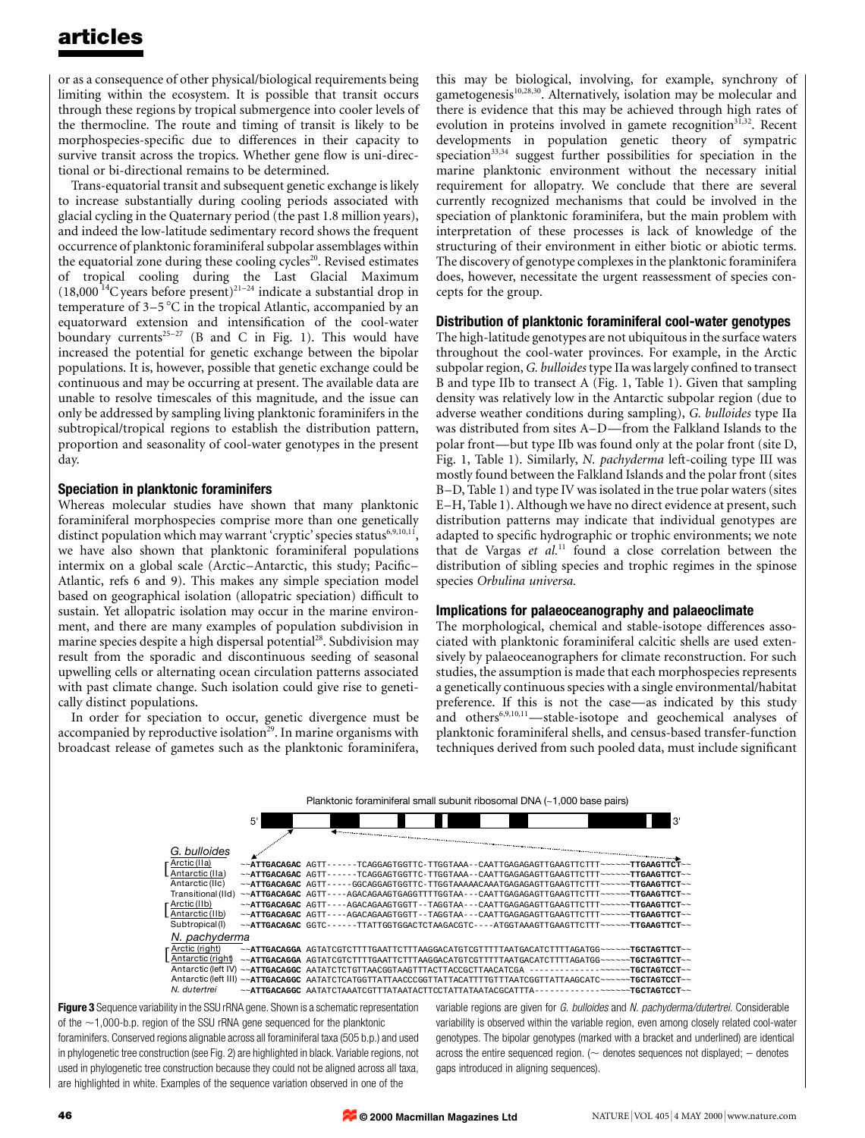# articles

or as a consequence of other physical/biological requirements being limiting within the ecosystem. It is possible that transit occurs through these regions by tropical submergence into cooler levels of the thermocline. The route and timing of transit is likely to be morphospecies-specific due to differences in their capacity to survive transit across the tropics. Whether gene flow is uni-directional or bi-directional remains to be determined.

Trans-equatorial transit and subsequent genetic exchange is likely to increase substantially during cooling periods associated with glacial cycling in the Quaternary period (the past 1.8 million years), and indeed the low-latitude sedimentary record shows the frequent occurrence of planktonic foraminiferal subpolar assemblages within the equatorial zone during these cooling cycles $^{20}$ . Revised estimates of tropical cooling during the Last Glacial Maximum  $(18,000^{14}$ C years before present)<sup>21-24</sup> indicate a substantial drop in temperature of  $3-5\degree$ C in the tropical Atlantic, accompanied by an equatorward extension and intensification of the cool-water boundary currents<sup>25-27</sup> (B and C in Fig. 1). This would have increased the potential for genetic exchange between the bipolar populations. It is, however, possible that genetic exchange could be continuous and may be occurring at present. The available data are unable to resolve timescales of this magnitude, and the issue can only be addressed by sampling living planktonic foraminifers in the subtropical/tropical regions to establish the distribution pattern, proportion and seasonality of cool-water genotypes in the present day.

## Speciation in planktonic foraminifers

Whereas molecular studies have shown that many planktonic foraminiferal morphospecies comprise more than one genetically distinct population which may warrant 'cryptic' species status<sup>6,9,10,11</sup>, we have also shown that planktonic foraminiferal populations intermix on a global scale (Arctic-Antarctic, this study; Pacific-Atlantic, refs 6 and 9). This makes any simple speciation model based on geographical isolation (allopatric speciation) difficult to sustain. Yet allopatric isolation may occur in the marine environment, and there are many examples of population subdivision in marine species despite a high dispersal potential<sup>28</sup>. Subdivision may result from the sporadic and discontinuous seeding of seasonal upwelling cells or alternating ocean circulation patterns associated with past climate change. Such isolation could give rise to genetically distinct populations.

In order for speciation to occur, genetic divergence must be accompanied by reproductive isolation<sup> $29$ </sup>. In marine organisms with broadcast release of gametes such as the planktonic foraminifera, this may be biological, involving, for example, synchrony of gametogenesis<sup>10,28,30</sup>. Alternatively, isolation may be molecular and there is evidence that this may be achieved through high rates of evolution in proteins involved in gamete recognition $31,32$ . Recent developments in population genetic theory of sympatric speciation<sup>33,34</sup> suggest further possibilities for speciation in the marine planktonic environment without the necessary initial requirement for allopatry. We conclude that there are several currently recognized mechanisms that could be involved in the speciation of planktonic foraminifera, but the main problem with interpretation of these processes is lack of knowledge of the structuring of their environment in either biotic or abiotic terms. The discovery of genotype complexes in the planktonic foraminifera does, however, necessitate the urgent reassessment of species concepts for the group.

## Distribution of planktonic foraminiferal cool-water genotypes

The high-latitude genotypes are not ubiquitous in the surface waters throughout the cool-water provinces. For example, in the Arctic subpolar region, G. bulloides type IIa was largely confined to transect B and type IIb to transect A (Fig. 1, Table 1). Given that sampling density was relatively low in the Antarctic subpolar region (due to adverse weather conditions during sampling), G. bulloides type IIa was distributed from sites A-D—from the Falkland Islands to the polar front—but type IIb was found only at the polar front (site D, Fig. 1, Table 1). Similarly, N. pachyderma left-coiling type III was mostly found between the Falkland Islands and the polar front (sites B-D, Table 1) and type IV was isolated in the true polar waters (sites E-H, Table 1). Although we have no direct evidence at present, such distribution patterns may indicate that individual genotypes are adapted to specific hydrographic or trophic environments; we note that de Vargas et  $al$ .<sup>11</sup> found a close correlation between the distribution of sibling species and trophic regimes in the spinose species Orbulina universa.

#### Implications for palaeoceanography and palaeoclimate

The morphological, chemical and stable-isotope differences associated with planktonic foraminiferal calcitic shells are used extensively by palaeoceanographers for climate reconstruction. For such studies, the assumption is made that each morphospecies represents a genetically continuous species with a single environmental/habitat preference. If this is not the case—as indicated by this study and others $6,9,10,11$  -stable-isotope and geochemical analyses of planktonic foraminiferal shells, and census-based transfer-function techniques derived from such pooled data, must include significant



Figure 3 Sequence variability in the SSU rRNA gene. Shown is a schematic representation of the  $\sim$ 1,000-b.p. region of the SSU rRNA gene sequenced for the planktonic foraminifers. Conserved regions alignable across all foraminiferal taxa (505 b.p.) and used in phylogenetic tree construction (see Fig. 2) are highlighted in black. Variable regions, not used in phylogenetic tree construction because they could not be aligned across all taxa, are highlighted in white. Examples of the sequence variation observed in one of the

variable regions are given for G. bulloides and N. pachyderma/dutertrei. Considerable variability is observed within the variable region, even among closely related cool-water genotypes. The bipolar genotypes (marked with a bracket and underlined) are identical across the entire sequenced region. ( $\sim$  denotes sequences not displayed;  $-$  denotes gaps introduced in aligning sequences).